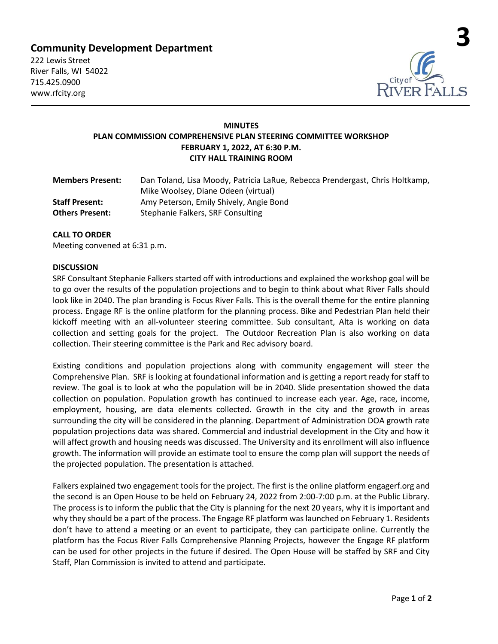# **Community Development Department**

222 Lewis Street River Falls, WI 54022 715.425.0900 www.rfcity.org



# **MINUTES PLAN COMMISSION COMPREHENSIVE PLAN STEERING COMMITTEE WORKSHOP FEBRUARY 1, 2022, AT 6:30 P.M. CITY HALL TRAINING ROOM**

| <b>Members Present:</b> | Dan Toland, Lisa Moody, Patricia LaRue, Rebecca Prendergast, Chris Holtkamp, |
|-------------------------|------------------------------------------------------------------------------|
|                         | Mike Woolsey, Diane Odeen (virtual)                                          |
| <b>Staff Present:</b>   | Amy Peterson, Emily Shively, Angie Bond                                      |
| <b>Others Present:</b>  | Stephanie Falkers, SRF Consulting                                            |

## **CALL TO ORDER**

Meeting convened at 6:31 p.m.

#### **DISCUSSION**

SRF Consultant Stephanie Falkers started off with introductions and explained the workshop goal will be to go over the results of the population projections and to begin to think about what River Falls should look like in 2040. The plan branding is Focus River Falls. This is the overall theme for the entire planning process. Engage RF is the online platform for the planning process. Bike and Pedestrian Plan held their kickoff meeting with an all-volunteer steering committee. Sub consultant, Alta is working on data collection and setting goals for the project. The Outdoor Recreation Plan is also working on data collection. Their steering committee is the Park and Rec advisory board.

Existing conditions and population projections along with community engagement will steer the Comprehensive Plan. SRF is looking at foundational information and is getting a report ready for staff to review. The goal is to look at who the population will be in 2040. Slide presentation showed the data collection on population. Population growth has continued to increase each year. Age, race, income, employment, housing, are data elements collected. Growth in the city and the growth in areas surrounding the city will be considered in the planning. Department of Administration DOA growth rate population projections data was shared. Commercial and industrial development in the City and how it will affect growth and housing needs was discussed. The University and its enrollment will also influence growth. The information will provide an estimate tool to ensure the comp plan will support the needs of the projected population. The presentation is attached.

Falkers explained two engagement tools for the project. The first is the online platform engagerf.org and the second is an Open House to be held on February 24, 2022 from 2:00-7:00 p.m. at the Public Library. The process is to inform the public that the City is planning for the next 20 years, why it is important and why they should be a part of the process. The Engage RF platform was launched on February 1. Residents don't have to attend a meeting or an event to participate, they can participate online. Currently the platform has the Focus River Falls Comprehensive Planning Projects, however the Engage RF platform can be used for other projects in the future if desired. The Open House will be staffed by SRF and City Staff, Plan Commission is invited to attend and participate.